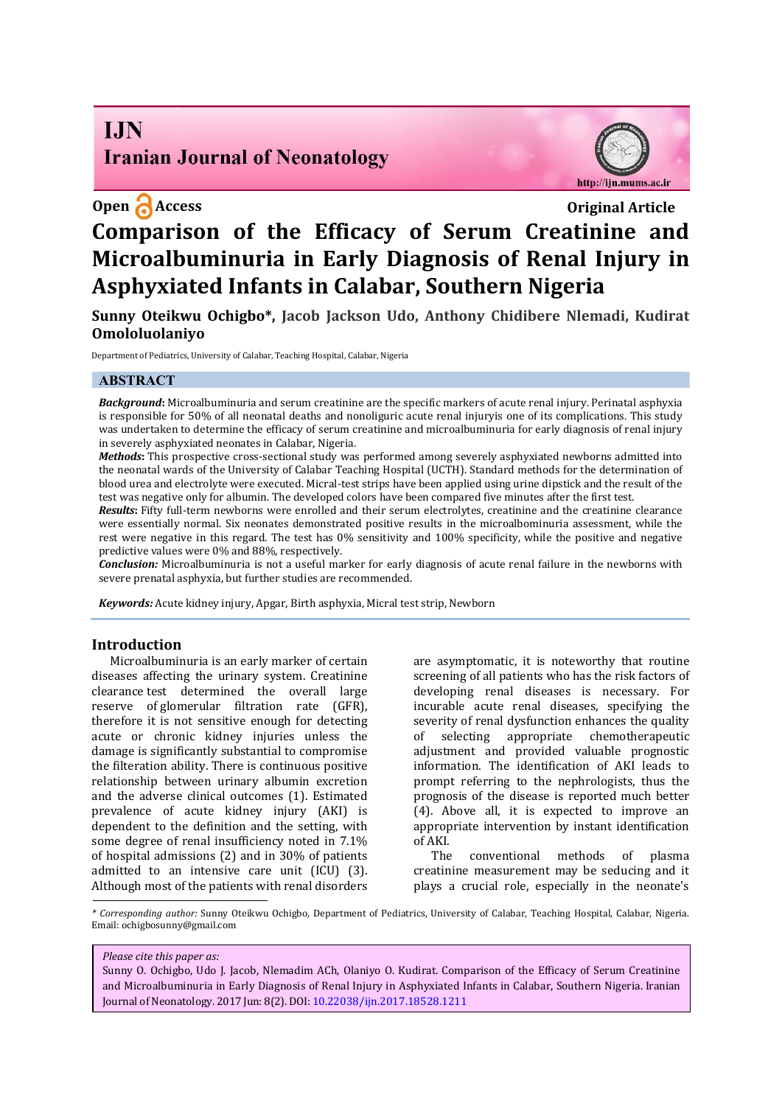# **I.IN Iranian Journal of Neonatology**

# **Open Access** Original Article

http://ijn.mums.ac.ir

# **Comparison of the Efficacy of Serum Creatinine and Microalbuminuria in Early Diagnosis of Renal Injury in Asphyxiated Infants in Calabar, Southern Nigeria**

**Sunny Oteikwu Ochigbo\*, Jacob Jackson Udo, Anthony Chidibere Nlemadi, Kudirat Omololuolaniyo** 

Department of Pediatrics, University of Calabar, Teaching Hospital, Calabar, Nigeria

# **ABSTRACT**

*Background***:** Microalbuminuria and serum creatinine are the specific markers of acute renal injury. Perinatal asphyxia is responsible for 50% of all neonatal deaths and nonoliguric acute renal injuryis one of its complications. This study was undertaken to determine the efficacy of serum creatinine and microalbuminuria for early diagnosis of renal injury in severely asphyxiated neonates in Calabar, Nigeria.

*Methods***:** This prospective cross-sectional study was performed among severely asphyxiated newborns admitted into the neonatal wards of the University of Calabar Teaching Hospital (UCTH). Standard methods for the determination of blood urea and electrolyte were executed. Micral-test strips have been applied using urine dipstick and the result of the test was negative only for albumin. The developed colors have been compared five minutes after the first test.

*Results***:** Fifty full-term newborns were enrolled and their serum electrolytes, creatinine and the creatinine clearance were essentially normal. Six neonates demonstrated positive results in the microalbominuria assessment, while the rest were negative in this regard. The test has 0% sensitivity and 100% specificity, while the positive and negative predictive values were 0% and 88%, respectively.

*Conclusion:* Microalbuminuria is not a useful marker for early diagnosis of acute renal failure in the newborns with severe prenatal asphyxia, but further studies are recommended.

*Keywords:* Acute kidney injury, Apgar, Birth asphyxia, Micral test strip, Newborn

### **Introduction**

Microalbuminuria is an early marker of certain diseases affecting the urinary system. Creatinine clearance test determined the overall large reserve of glomerular filtration rate (GFR), therefore it is not sensitive enough for detecting acute or chronic kidney injuries unless the damage is significantly substantial to compromise the filteration ability. There is continuous positive relationship between urinary albumin excretion and the adverse clinical outcomes (1). Estimated prevalence of acute kidney injury (AKI) is dependent to the definition and the setting, with some degree of renal insufficiency noted in 7.1% of hospital admissions (2) and in 30% of patients admitted to an intensive care unit (ICU) (3). Although most of the patients with renal disorders

are asymptomatic, it is noteworthy that routine screening of all patients who has the risk factors of developing renal diseases is necessary. For incurable acute renal diseases, specifying the severity of renal dysfunction enhances the quality of selecting appropriate chemotherapeutic adjustment and provided valuable prognostic information. The identification of AKI leads to prompt referring to the nephrologists, thus the prognosis of the disease is reported much better (4). Above all, it is expected to improve an appropriate intervention by instant identification of AKI.

The conventional methods of plasma creatinine measurement may be seducing and it plays a crucial role, especially in the neonate's

*\* Corresponding author:* Sunny Oteikwu Ochigbo, Department of Pediatrics, University of Calabar, Teaching Hospital, Calabar, Nigeria. Email: ochigbosunny@gmail.com

#### *Please cite this paper as:*

Sunny O. Ochigbo, Udo J. Jacob, Nlemadim ACh, Olaniyo O. Kudirat. Comparison of the Efficacy of Serum Creatinine and Microalbuminuria in Early Diagnosis of Renal Injury in Asphyxiated Infants in Calabar, Southern Nigeria. Iranian Journal of Neonatology. 2017 Jun: 8(2). DOI: 10.22038/ijn.2017.18528.1211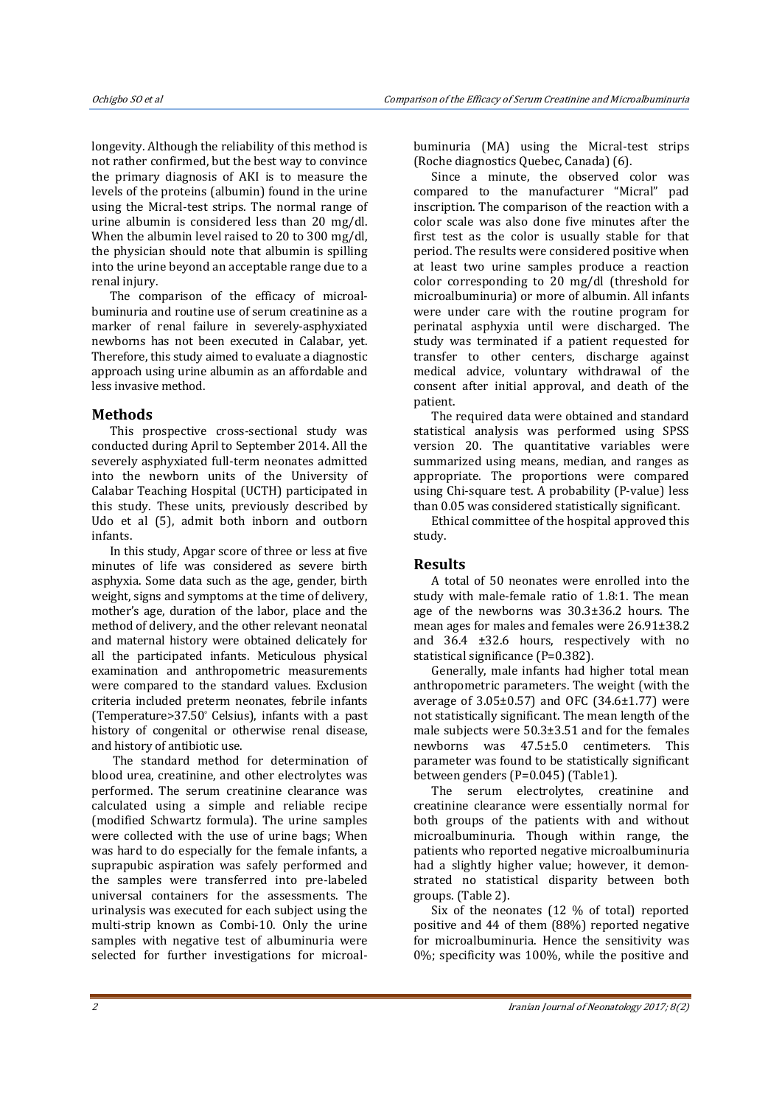longevity. Although the reliability of this method is not rather confirmed, but the best way to convince the primary diagnosis of AKI is to measure the levels of the proteins (albumin) found in the urine using the Micral-test strips. The normal range of urine albumin is considered less than 20 mg/dl. When the albumin level raised to 20 to 300 mg/dl, the physician should note that albumin is spilling into the urine beyond an acceptable range due to a renal injury.

The comparison of the efficacy of microalbuminuria and routine use of serum creatinine as a marker of renal failure in severely-asphyxiated newborns has not been executed in Calabar, yet. Therefore, this study aimed to evaluate a diagnostic approach using urine albumin as an affordable and less invasive method.

# **Methods**

This prospective cross-sectional study was conducted during April to September 2014. All the severely asphyxiated full-term neonates admitted into the newborn units of the University of Calabar Teaching Hospital (UCTH) participated in this study. These units, previously described by Udo et al (5), admit both inborn and outborn infants.

In this study, Apgar score of three or less at five minutes of life was considered as severe birth asphyxia. Some data such as the age, gender, birth weight, signs and symptoms at the time of delivery, mother's age, duration of the labor, place and the method of delivery, and the other relevant neonatal and maternal history were obtained delicately for all the participated infants. Meticulous physical examination and anthropometric measurements were compared to the standard values. Exclusion criteria included preterm neonates, febrile infants (Temperature>37.50° Celsius), infants with a past history of congenital or otherwise renal disease, and history of antibiotic use.

 The standard method for determination of blood urea, creatinine, and other electrolytes was performed. The serum creatinine clearance was calculated using a simple and reliable recipe (modified Schwartz formula). The urine samples were collected with the use of urine bags; When was hard to do especially for the female infants, a suprapubic aspiration was safely performed and the samples were transferred into pre-labeled universal containers for the assessments. The urinalysis was executed for each subject using the multi-strip known as Combi-10. Only the urine samples with negative test of albuminuria were selected for further investigations for microalbuminuria (MA) using the Micral-test strips (Roche diagnostics Quebec, Canada) (6).

Since a minute, the observed color was compared to the manufacturer "Micral" pad inscription. The comparison of the reaction with a color scale was also done five minutes after the first test as the color is usually stable for that period. The results were considered positive when at least two urine samples produce a reaction color corresponding to 20 mg/dl (threshold for microalbuminuria) or more of albumin. All infants were under care with the routine program for perinatal asphyxia until were discharged. The study was terminated if a patient requested for transfer to other centers, discharge against medical advice, voluntary withdrawal of the consent after initial approval, and death of the patient.

The required data were obtained and standard statistical analysis was performed using SPSS version 20. The quantitative variables were summarized using means, median, and ranges as appropriate. The proportions were compared using Chi-square test. A probability (P-value) less than 0.05 was considered statistically significant.

Ethical committee of the hospital approved this study.

# **Results**

A total of 50 neonates were enrolled into the study with male-female ratio of 1.8:1. The mean age of the newborns was 30.3±36.2 hours. The mean ages for males and females were 26.91±38.2 and 36.4 ±32.6 hours, respectively with no statistical significance (P=0.382).

Generally, male infants had higher total mean anthropometric parameters. The weight (with the average of  $3.05\pm0.57$  and OFC (34.6 $\pm1.77$ ) were not statistically significant. The mean length of the male subjects were 50.3±3.51 and for the females newborns was 47.5±5.0 centimeters. This parameter was found to be statistically significant between genders (P=0.045) (Table1).

The serum electrolytes, creatinine and creatinine clearance were essentially normal for both groups of the patients with and without microalbuminuria. Though within range, the patients who reported negative microalbuminuria had a slightly higher value; however, it demonstrated no statistical disparity between both groups. (Table 2).

Six of the neonates (12 % of total) reported positive and 44 of them (88%) reported negative for microalbuminuria. Hence the sensitivity was 0%; specificity was 100%, while the positive and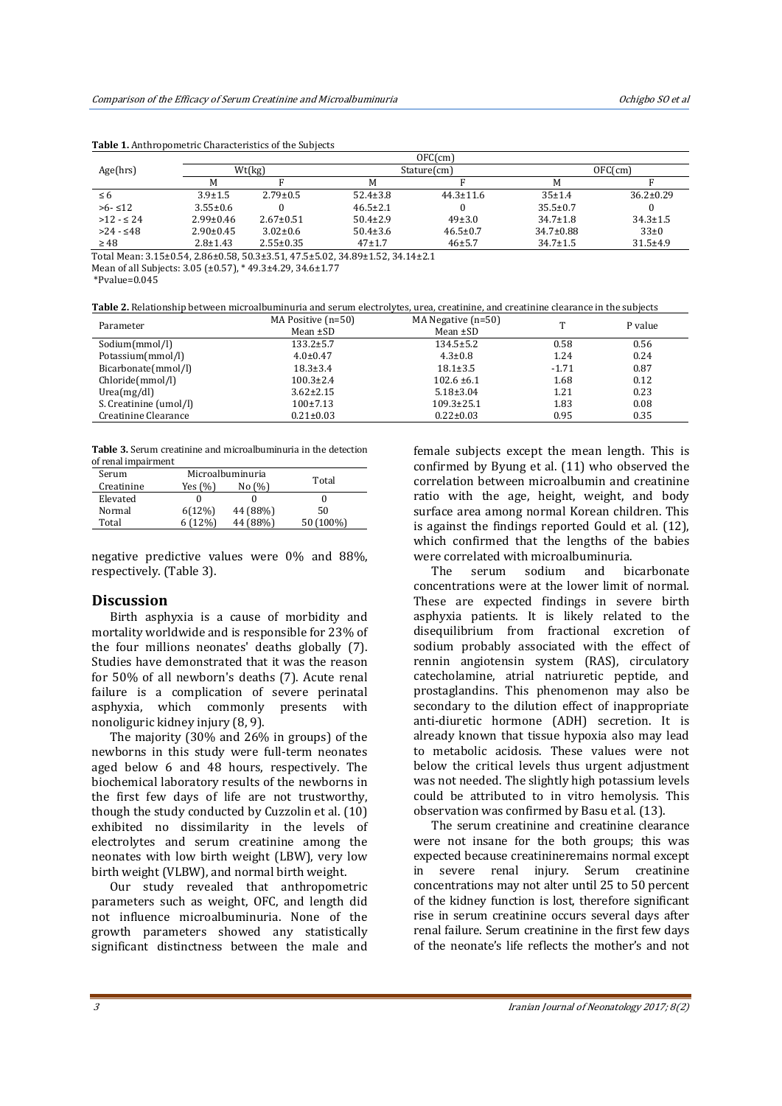|                                                                               | OFC(cm)         |                 |                |                 |                 |                 |  |
|-------------------------------------------------------------------------------|-----------------|-----------------|----------------|-----------------|-----------------|-----------------|--|
| Age(hrs)                                                                      | Wt(kg)          |                 | Stature(cm)    |                 | OFC(cm)         |                 |  |
|                                                                               | M               |                 | M              |                 | M               |                 |  |
| $\leq 6$                                                                      | $3.9 \pm 1.5$   | $2.79 \pm 0.5$  | $52.4 \pm 3.8$ | $44.3 \pm 11.6$ | 35±1.4          | $36.2 \pm 0.29$ |  |
| $>6 - 12$                                                                     | $3.55 \pm 0.6$  |                 | $46.5 \pm 2.1$ |                 | $35.5 \pm 0.7$  |                 |  |
| $>12 - 524$                                                                   | $2.99 \pm 0.46$ | $2.67 \pm 0.51$ | $50.4 \pm 2.9$ | $49\pm3.0$      | $34.7 \pm 1.8$  | $34.3 \pm 1.5$  |  |
| $>24 - 548$                                                                   | $2.90 \pm 0.45$ | $3.02 \pm 0.6$  | $50.4 \pm 3.6$ | $46.5 \pm 0.7$  | $34.7 \pm 0.88$ | $33\pm0$        |  |
| $\geq 48$                                                                     | $2.8 \pm 1.43$  | $2.55 \pm 0.35$ | $47+1.7$       | $46 + 5.7$      | $34.7 \pm 1.5$  | $31.5 \pm 4.9$  |  |
| Total Mean: 3.15±0.54, 2.86±0.58, 50.3±3.51, 47.5±5.02, 34.89±1.52, 34.14±2.1 |                 |                 |                |                 |                 |                 |  |

**Table 1.** Anthropometric Characteristics of the Subjects

\*Pvalue=0.045

**Table 2.** Relationship between microalbuminuria and serum electrolytes, urea, creatinine, and creatinine clearance in the subjects

| Parameter              | MA Positive $(n=50)$ | MA Negative $(n=50)$ |         | P value |
|------------------------|----------------------|----------------------|---------|---------|
|                        | Mean $\pm SD$        | Mean $\pm SD$        |         |         |
| Sodium(mmol/l)         | $133.2 \pm 5.7$      | $134.5 \pm 5.2$      | 0.58    | 0.56    |
| Potassium(mmol/l)      | $4.0 \pm 0.47$       | $4.3 \pm 0.8$        | 1.24    | 0.24    |
| Bicarbonate(mmol/l)    | $18.3 \pm 3.4$       | $18.1 \pm 3.5$       | $-1.71$ | 0.87    |
| Chloride(mmol/l)       | $100.3 \pm 2.4$      | $102.6 \pm 6.1$      | 1.68    | 0.12    |
| Urea(mg/dl)            | $3.62 \pm 2.15$      | $5.18 \pm 3.04$      | 1.21    | 0.23    |
| S. Creatinine (umol/l) | $100\pm7.13$         | $109.3 \pm 25.1$     | 1.83    | 0.08    |
| Creatinine Clearance   | $0.21 \pm 0.03$      | $0.22 \pm 0.03$      | 0.95    | 0.35    |

**Table 3.** Serum creatinine and microalbuminuria in the detection of renal impairment

| Serum      | Microalbuminuria |          |           |  |
|------------|------------------|----------|-----------|--|
| Creatinine | Yes (%)          | No (%)   | Total     |  |
| Elevated   |                  |          |           |  |
| Normal     | 6(12%)           | 44 (88%) | 50        |  |
| Total      | (12%)            | 44 (88%) | 50 (100%) |  |

negative predictive values were 0% and 88%, respectively. (Table 3).

# **Discussion**

Birth asphyxia is a cause of morbidity and mortality worldwide and is responsible for 23% of the four millions neonates' deaths globally (7). Studies have demonstrated that it was the reason for 50% of all newborn's deaths (7). Acute renal failure is a complication of severe perinatal asphyxia, which commonly presents with nonoliguric kidney injury (8, 9).

The majority (30% and 26% in groups) of the newborns in this study were full-term neonates aged below 6 and 48 hours, respectively. The biochemical laboratory results of the newborns in the first few days of life are not trustworthy, though the study conducted by Cuzzolin et al. (10) exhibited no dissimilarity in the levels of electrolytes and serum creatinine among the neonates with low birth weight (LBW), very low birth weight (VLBW), and normal birth weight.

Our study revealed that anthropometric parameters such as weight, OFC, and length did not influence microalbuminuria. None of the growth parameters showed any statistically significant distinctness between the male and

female subjects except the mean length. This is confirmed by Byung et al. (11) who observed the correlation between microalbumin and creatinine ratio with the age, height, weight, and body surface area among normal Korean children. This is against the findings reported Gould et al. (12), which confirmed that the lengths of the babies were correlated with microalbuminuria.

The serum sodium and bicarbonate concentrations were at the lower limit of normal. These are expected findings in severe birth asphyxia patients. It is likely related to the disequilibrium from fractional excretion of sodium probably associated with the effect of rennin angiotensin system (RAS), circulatory catecholamine, atrial natriuretic peptide, and prostaglandins. This phenomenon may also be secondary to the dilution effect of inappropriate anti-diuretic hormone (ADH) secretion. It is already known that tissue hypoxia also may lead to metabolic acidosis. These values were not below the critical levels thus urgent adjustment was not needed. The slightly high potassium levels could be attributed to in vitro hemolysis. This observation was confirmed by Basu et al. (13).

The serum creatinine and creatinine clearance were not insane for the both groups; this was expected because creatinineremains normal except in severe renal injury. Serum creatinine concentrations may not alter until 25 to 50 percent of the kidney function is lost, therefore significant rise in serum creatinine occurs several days after renal failure. Serum creatinine in the first few days of the neonate's life reflects the mother's and not

Mean of all Subjects: 3.05 (±0.57), \* 49.3±4.29, 34.6±1.77